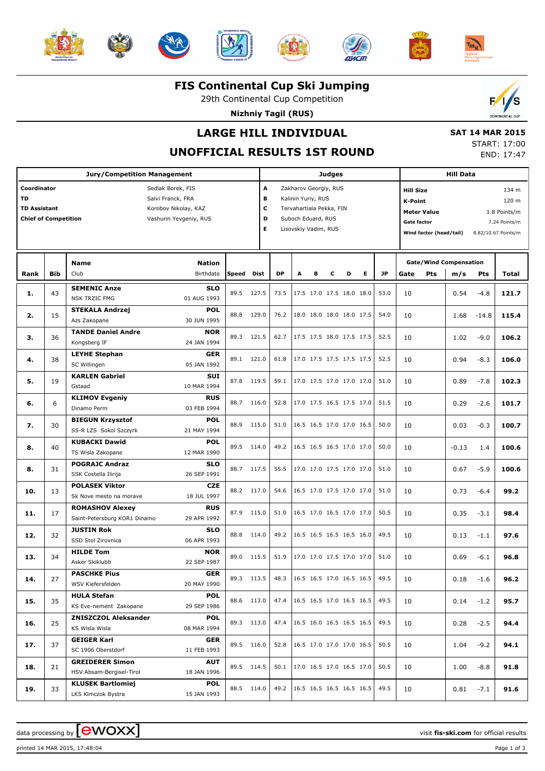













## **FIS Continental Cup Ski Jumping**

29th Continental Cup Competition

**Nizhniy Tagil (RUS)**



# **LARGE HILL INDIVIDUAL**

## **UNOFFICIAL RESULTS 1ST ROUND**

 **SAT 14 MAR 2015** START: 17:00

END: 17:47

| <b>Jury/Competition Management</b>          |            |                                             |       |             |                         |                          | <b>Judges</b> |   |                          |    |           |                                    |                         |                               | <b>Hill Data</b> |                     |  |  |  |  |
|---------------------------------------------|------------|---------------------------------------------|-------|-------------|-------------------------|--------------------------|---------------|---|--------------------------|----|-----------|------------------------------------|-------------------------|-------------------------------|------------------|---------------------|--|--|--|--|
| Coordinator                                 |            | Sedlak Borek, FIS                           |       | A           |                         | Zakharov Georgiy, RUS    |               |   |                          |    |           | <b>Hill Size</b>                   |                         |                               |                  | 134 m               |  |  |  |  |
| <b>TD</b><br>Salvi Franck, FRA              |            |                                             |       |             | В<br>Kalinin Yuriy, RUS |                          |               |   |                          |    |           |                                    | 120 m<br><b>K-Point</b> |                               |                  |                     |  |  |  |  |
| <b>TD Assistant</b><br>Korobov Nikolay, KAZ |            |                                             |       |             | c                       | Tervahartiala Pekka, FIN |               |   |                          |    |           | <b>Meter Value</b><br>1.8 Points/m |                         |                               |                  |                     |  |  |  |  |
| <b>Chief of Competition</b>                 |            | Vashurin Yevgeniy, RUS                      |       | D           |                         | Suboch Eduard, RUS       |               |   |                          |    |           | Gate factor                        |                         |                               |                  | 7.24 Points/m       |  |  |  |  |
|                                             |            |                                             |       | Е           |                         | Lisovskiy Vadim, RUS     |               |   |                          |    |           |                                    | Wind factor (head/tail) |                               |                  | 8.82/10.67 Points/m |  |  |  |  |
|                                             |            |                                             |       |             |                         |                          |               |   |                          |    |           |                                    |                         |                               |                  |                     |  |  |  |  |
|                                             |            |                                             |       |             |                         |                          |               |   |                          |    |           |                                    |                         |                               |                  |                     |  |  |  |  |
|                                             |            | <b>Nation</b><br><b>Name</b>                |       |             |                         |                          |               |   |                          |    |           |                                    |                         | <b>Gate/Wind Compensation</b> |                  |                     |  |  |  |  |
| Rank                                        | <b>Bib</b> | Club<br>Birthdate                           | Speed | <b>Dist</b> | <b>DP</b>               | A                        | в             | с | D                        | E. | <b>JP</b> | Gate                               | <b>Pts</b>              | m/s                           | <b>Pts</b>       | Total               |  |  |  |  |
| 1.                                          | 43         | <b>SEMENIC Anze</b><br><b>SLO</b>           | 89.5  | 127.5       | 73.5                    |                          |               |   | 17.5 17.0 17.5 18.0 18.0 |    | 53.0      | 10                                 |                         | 0.54                          | $-4.8$           | 121.7               |  |  |  |  |
|                                             |            | 01 AUG 1993<br><b>NSK TRZIC FMG</b>         |       |             |                         |                          |               |   |                          |    |           |                                    |                         |                               |                  |                     |  |  |  |  |
| 2.                                          | 15         | <b>POL</b><br><b>STEKALA Andrzej</b>        | 88.8  | 129.0       | 76.2                    |                          |               |   | 18.0 18.0 18.0 18.0 17.5 |    | 54.0      | 10                                 |                         | 1.68                          | $-14.8$          | 115.4               |  |  |  |  |
|                                             |            | 30 JUN 1995<br>Azs Zakopane                 |       |             |                         |                          |               |   |                          |    |           |                                    |                         |                               |                  |                     |  |  |  |  |
| з.                                          | 36         | <b>TANDE Daniel Andre</b><br><b>NOR</b>     | 89.3  | 121.5       | 62.7                    |                          |               |   | 17.5 17.5 18.0 17.5 17.5 |    | 52.5      | 10                                 |                         | 1.02                          | $-9.0$           | 106.2               |  |  |  |  |
|                                             |            | 24 JAN 1994<br>Kongsberg IF                 |       |             |                         |                          |               |   |                          |    |           |                                    |                         |                               |                  |                     |  |  |  |  |
| 4.                                          | 38         | <b>LEYHE Stephan</b><br><b>GER</b>          | 89.1  | 121.0       | 61.8                    |                          |               |   | 17.0 17.5 17.5 17.5 17.5 |    | 52.5      | 10                                 |                         | 0.94                          | $-8.3$           | 106.0               |  |  |  |  |
|                                             |            | 05 JAN 1992<br>SC Willingen                 |       |             |                         |                          |               |   |                          |    |           |                                    |                         |                               |                  |                     |  |  |  |  |
| 5.                                          | 19         | <b>KARLEN Gabriel</b><br><b>SUI</b>         | 87.8  | 119.5       | 59.1                    |                          |               |   | 17.0 17.5 17.0 17.0 17.0 |    | 51.0      | 10                                 |                         | 0.89                          | $-7.8$           | 102.3               |  |  |  |  |
|                                             |            | 10 MAR 1994<br>Gstaad                       |       |             |                         |                          |               |   |                          |    |           |                                    |                         |                               |                  |                     |  |  |  |  |
| 6.                                          | 6          | <b>RUS</b><br><b>KLIMOV Evgeniy</b>         | 88.7  | 116.0       | 52.8                    |                          |               |   | 17.0 17.5 16.5 17.5 17.0 |    | 51.5      | 10                                 |                         | 0.29                          | $-2.6$           | 101.7               |  |  |  |  |
|                                             |            | Dinamo Perm<br>03 FEB 1994                  |       |             |                         |                          |               |   |                          |    |           |                                    |                         |                               |                  |                     |  |  |  |  |
| 7.                                          | 30         | <b>POL</b><br><b>BIEGUN Krzysztof</b>       | 88.9  | 115.0       | 51.0                    |                          |               |   | 16.5 16.5 17.0 17.0 16.5 |    | 50.0      | 10                                 |                         | 0.03                          | $-0.3$           | 100.7               |  |  |  |  |
|                                             |            | SS-R LZS Sokol Szczyrk<br>21 MAY 1994       |       |             |                         |                          |               |   |                          |    |           |                                    |                         |                               |                  |                     |  |  |  |  |
| 8.                                          | 40         | <b>POL</b><br><b>KUBACKI Dawid</b>          | 89.5  | 114.0       | 49.2                    |                          |               |   | 16.5 16.5 16.5 17.0 17.0 |    | 50.0      | 10                                 |                         | $-0.13$                       | 1.4              | 100.6               |  |  |  |  |
|                                             |            | TS Wisla Zakopane<br>12 MAR 1990            |       |             |                         |                          |               |   |                          |    |           |                                    |                         |                               |                  |                     |  |  |  |  |
| 8.                                          | 31         | <b>POGRAJC Andraz</b><br><b>SLO</b>         | 88.7  | 117.5       | 55.5                    |                          |               |   | 17.0 17.0 17.5 17.0 17.0 |    | 51.0      | 10                                 |                         | 0.67                          | $-5.9$           | 100.6               |  |  |  |  |
|                                             |            | 26 SEP 1991<br>SSK Costella Ilirija         |       |             |                         |                          |               |   |                          |    |           |                                    |                         |                               |                  |                     |  |  |  |  |
| 10.                                         | 13         | <b>POLASEK Viktor</b><br><b>CZE</b>         |       | 88.2 117.0  | 54.6                    |                          |               |   | 16.5 17.0 17.5 17.0 17.0 |    | 51.0      | 10                                 |                         | 0.73                          | $-6.4$           | 99.2                |  |  |  |  |
|                                             |            | Sk Nove mesto na morave<br>18 JUL 1997      |       |             |                         |                          |               |   |                          |    |           |                                    |                         |                               |                  |                     |  |  |  |  |
| 11.                                         | 17         | <b>RUS</b><br><b>ROMASHOV Alexey</b>        | 87.9  | 115.0       | 51.0                    |                          |               |   | 16.5 17.0 16.5 17.0 17.0 |    | 50.5      | 10                                 |                         | 0.35                          | $-3.1$           | 98.4                |  |  |  |  |
|                                             |            | Saint-Petersburg KOR1 Dinamo<br>29 APR 1992 |       |             |                         |                          |               |   |                          |    |           |                                    |                         |                               |                  |                     |  |  |  |  |
| 12.                                         | 32         | <b>JUSTIN Rok</b><br><b>SLO</b>             | 88.8  | 114.0       | 49.2                    |                          |               |   | 16.5 16.5 16.5 16.5 16.0 |    | 49.5      | 10                                 |                         | 0.13                          | $-1.1$           | 97.6                |  |  |  |  |
|                                             |            | 06 APR 1993<br>SSD Stol Zirovnica           |       |             |                         |                          |               |   |                          |    |           |                                    |                         |                               |                  |                     |  |  |  |  |
| 13.                                         | 34         | <b>NOR</b><br><b>HILDE Tom</b>              |       | 89.0 115.5  | 51.9                    |                          |               |   | 17.0 17.0 17.5 17.0 17.0 |    | 51.0      | 10                                 |                         | 0.69                          | $-6.1$           | 96.8                |  |  |  |  |
|                                             |            | Asker Skiklubb<br>22 SEP 1987               |       |             |                         |                          |               |   |                          |    |           |                                    |                         |                               |                  |                     |  |  |  |  |
| 14.                                         | 27         | <b>PASCHKE Pius</b><br><b>GER</b>           |       | 89.3 113.5  | 48.3                    |                          |               |   | 16.5 16.5 17.0 16.5 16.5 |    | 49.5      | 10                                 |                         | 0.18                          | $-1.6$           | 96.2                |  |  |  |  |
|                                             |            | WSV Kiefersfelden<br>20 MAY 1990            |       |             |                         |                          |               |   |                          |    |           |                                    |                         |                               |                  |                     |  |  |  |  |
| 15.                                         | 35         | <b>HULA Stefan</b><br><b>POL</b>            |       | 88.6 113.0  | 47.4                    |                          |               |   | 16.5 16.5 17.0 16.5 16.5 |    | 49.5      | 10                                 |                         | 0.14                          | $-1.2$           | 95.7                |  |  |  |  |
|                                             |            | KS Eve-nement Zakopane<br>29 SEP 1986       |       |             |                         |                          |               |   |                          |    |           |                                    |                         |                               |                  |                     |  |  |  |  |
| 16.                                         | 25         | <b>ZNISZCZOL Aleksander</b><br><b>POL</b>   |       | 89.3 113.0  | 47.4                    |                          |               |   | 16.5 16.0 16.5 16.5 16.5 |    | 49.5      | 10                                 |                         | 0.28                          | $-2.5$           | 94.4                |  |  |  |  |
|                                             |            | KS Wisla Wisla<br>08 MAR 1994               |       |             |                         |                          |               |   |                          |    |           |                                    |                         |                               |                  |                     |  |  |  |  |
| 17.                                         | 37         | <b>GEIGER Karl</b><br><b>GER</b>            |       | 89.5 116.0  | 52.8                    |                          |               |   | 16.5 17.0 17.0 17.0 16.5 |    | 50.5      | 10                                 |                         | 1.04                          | $-9.2$           | 94.1                |  |  |  |  |
|                                             |            | SC 1906 Oberstdorf<br>11 FEB 1993           |       |             |                         |                          |               |   |                          |    |           |                                    |                         |                               |                  |                     |  |  |  |  |
| 18.                                         | 21         | <b>GREIDERER Simon</b><br>AUT               |       | 89.5 114.5  | 50.1                    |                          |               |   | 17.0 16.5 17.0 16.5 17.0 |    | 50.5      | 10                                 |                         | 1.00                          | $-8.8$           | 91.8                |  |  |  |  |
|                                             |            | HSV Absam-Bergisel-Tirol<br>18 JAN 1996     |       |             |                         |                          |               |   |                          |    |           |                                    |                         |                               |                  |                     |  |  |  |  |
| 19.                                         | 33         | <b>KLUSEK Bartlomiej</b><br><b>POL</b>      |       | 88.5 114.0  | 49.2                    |                          |               |   | 16.5 16.5 16.5 16.5 16.5 |    | 49.5      | 10                                 |                         | 0.81                          | $-7.1$           | 91.6                |  |  |  |  |
|                                             |            | LKS Klmczok Bystra<br>15 JAN 1993           |       |             |                         |                          |               |   |                          |    |           |                                    |                         |                               |                  |                     |  |  |  |  |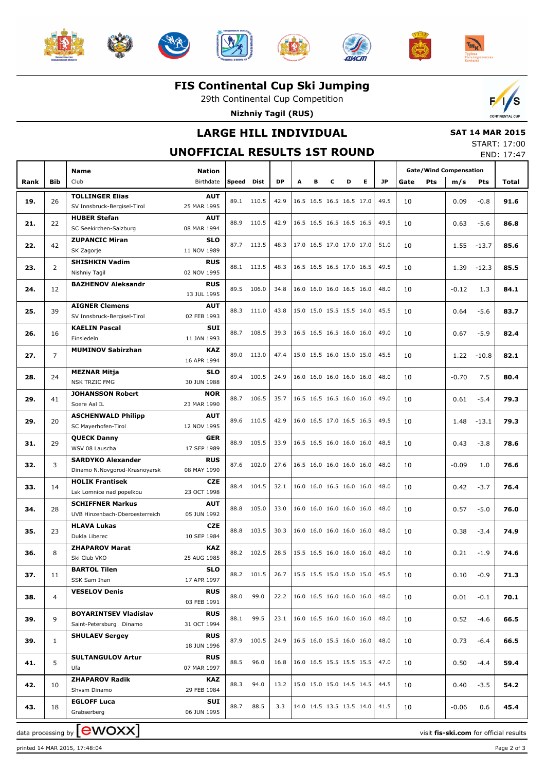













**FIS Continental Cup Ski Jumping**

29th Continental Cup Competition

**Nizhniy Tagil (RUS)**



## **LARGE HILL INDIVIDUAL**

# **SAT 14 MAR 2015**

**UNOFFICIAL RESULTS 1ST ROUND**

| START: 17:00 |            |
|--------------|------------|
|              | END: 17:47 |

|      |                | Name                                                | <b>Nation</b>             |              |            |           |   |   |   |                                      |    |      |      |            | <b>Gate/Wind Compensation</b> |            |       |
|------|----------------|-----------------------------------------------------|---------------------------|--------------|------------|-----------|---|---|---|--------------------------------------|----|------|------|------------|-------------------------------|------------|-------|
| Rank | <b>Bib</b>     | Club                                                | Birthdate                 | <b>Speed</b> | Dist       | <b>DP</b> | A | в | c | D                                    | E. | JP.  | Gate | <b>Pts</b> | m/s                           | <b>Pts</b> | Total |
|      |                | <b>TOLLINGER Elias</b>                              | <b>AUT</b>                |              |            |           |   |   |   |                                      |    |      |      |            |                               |            |       |
| 19.  | 26             | SV Innsbruck-Bergisel-Tirol                         | 25 MAR 1995               |              | 89.1 110.5 | 42.9      |   |   |   | 16.5 16.5 16.5 16.5 17.0             |    | 49.5 | 10   |            | 0.09                          | $-0.8$     | 91.6  |
| 21.  | 22             | <b>HUBER Stefan</b>                                 | <b>AUT</b>                | 88.9         | 110.5      | 42.9      |   |   |   | 16.5 16.5 16.5 16.5 16.5             |    | 49.5 | 10   |            | 0.63                          | $-5.6$     | 86.8  |
|      |                | SC Seekirchen-Salzburg                              | 08 MAR 1994               |              |            |           |   |   |   |                                      |    |      |      |            |                               |            |       |
| 22.  | 42             | <b>ZUPANCIC Miran</b>                               | <b>SLO</b>                |              | 87.7 113.5 | 48.3      |   |   |   | 17.0 16.5 17.0 17.0 17.0             |    | 51.0 | 10   |            | 1.55                          | $-13.7$    | 85.6  |
|      |                | SK Zagorje                                          | 11 NOV 1989               |              |            |           |   |   |   |                                      |    |      |      |            |                               |            |       |
| 23.  | $\overline{2}$ | <b>SHISHKIN Vadim</b><br>Nishniy Tagil              | <b>RUS</b><br>02 NOV 1995 |              | 88.1 113.5 | 48.3      |   |   |   | 16.5 16.5 16.5 17.0 16.5             |    | 49.5 | 10   |            | 1.39                          | $-12.3$    | 85.5  |
|      |                | <b>BAZHENOV Aleksandr</b>                           | <b>RUS</b>                |              |            |           |   |   |   |                                      |    |      |      |            |                               |            |       |
| 24.  | 12             |                                                     | 13 JUL 1995               | 89.5         | 106.0      | 34.8      |   |   |   | 16.0 16.0 16.0 16.5 16.0             |    | 48.0 | 10   |            | $-0.12$                       | 1.3        | 84.1  |
|      |                | <b>AIGNER Clemens</b>                               | <b>AUT</b>                |              |            |           |   |   |   |                                      |    |      |      |            |                               |            |       |
| 25.  | 39             | SV Innsbruck-Bergisel-Tirol                         | 02 FEB 1993               |              | 88.3 111.0 | 43.8      |   |   |   | 15.0 15.0 15.5 15.5 14.0             |    | 45.5 | 10   |            | 0.64                          | $-5.6$     | 83.7  |
| 26.  | 16             | <b>KAELIN Pascal</b>                                | <b>SUI</b>                | 88.7         | 108.5      | 39.3      |   |   |   | 16.5 16.5 16.5 16.0 16.0             |    | 49.0 | 10   |            | 0.67                          | $-5.9$     | 82.4  |
|      |                | Einsiedeln                                          | 11 JAN 1993               |              |            |           |   |   |   |                                      |    |      |      |            |                               |            |       |
| 27.  | $\overline{7}$ | <b>MUMINOV Sabirzhan</b>                            | <b>KAZ</b>                |              | 89.0 113.0 | 47.4      |   |   |   | 15.0 15.5 16.0 15.0 15.0             |    | 45.5 | 10   |            | 1.22                          | $-10.8$    | 82.1  |
|      |                |                                                     | 16 APR 1994               |              |            |           |   |   |   |                                      |    |      |      |            |                               |            |       |
| 28.  | 24             | <b>MEZNAR Mitja</b><br><b>NSK TRZIC FMG</b>         | <b>SLO</b><br>30 JUN 1988 | 89.4         | 100.5      | 24.9      |   |   |   | 16.0 16.0 16.0 16.0 16.0             |    | 48.0 | 10   |            | $-0.70$                       | 7.5        | 80.4  |
|      |                | <b>JOHANSSON Robert</b>                             | <b>NOR</b>                |              |            |           |   |   |   |                                      |    |      |      |            |                               |            |       |
| 29.  | 41             | Soere Aal IL                                        | 23 MAR 1990               | 88.7         | 106.5      | 35.7      |   |   |   | 16.5 16.5 16.5 16.0 16.0             |    | 49.0 | 10   |            | 0.61                          | $-5.4$     | 79.3  |
|      |                | <b>ASCHENWALD Philipp</b>                           | <b>AUT</b>                |              |            |           |   |   |   |                                      |    |      |      |            |                               |            |       |
| 29.  | 20             | SC Mayerhofen-Tirol                                 | 12 NOV 1995               |              | 89.6 110.5 | 42.9      |   |   |   | 16.0 16.5 17.0 16.5 16.5             |    | 49.5 | 10   |            | 1.48                          | $-13.1$    | 79.3  |
| 31.  | 29             | <b>QUECK Danny</b>                                  | <b>GER</b>                | 88.9         | 105.5      | 33.9      |   |   |   | 16.5 16.5 16.0 16.0 16.0             |    | 48.5 | 10   |            | 0.43                          | $-3.8$     | 78.6  |
|      |                | WSV 08 Lauscha                                      | 17 SEP 1989               |              |            |           |   |   |   |                                      |    |      |      |            |                               |            |       |
| 32.  | 3              | <b>SARDYKO Alexander</b>                            | <b>RUS</b>                |              | 87.6 102.0 | 27.6      |   |   |   | 16.5 16.0 16.0 16.0 16.0             |    | 48.0 | 10   |            | $-0.09$                       | 1.0        | 76.6  |
|      |                | Dinamo N.Novgorod-Krasnoyarsk                       | 08 MAY 1990               |              |            |           |   |   |   |                                      |    |      |      |            |                               |            |       |
| 33.  | 14             | <b>HOLIK Frantisek</b>                              | <b>CZE</b>                | 88.4         | 104.5      | 32.1      |   |   |   | 16.0 16.0 16.5 16.0 16.0             |    | 48.0 | 10   |            | 0.42                          | $-3.7$     | 76.4  |
|      |                | Lsk Lomnice nad popelkou<br><b>SCHIFFNER Markus</b> | 23 OCT 1998<br>AUT        |              |            |           |   |   |   |                                      |    |      |      |            |                               |            |       |
| 34.  | 28             | UVB Hinzenbach-Oberoesterreich                      | 05 JUN 1992               | 88.8         | 105.0      | 33.0      |   |   |   | 16.0 16.0 16.0 16.0 16.0             |    | 48.0 | 10   |            | 0.57                          | $-5.0$     | 76.0  |
|      |                | <b>HLAVA Lukas</b>                                  | <b>CZE</b>                |              |            |           |   |   |   |                                      |    |      |      |            |                               |            |       |
| 35.  | 23             | Dukla Liberec                                       | 10 SEP 1984               |              | 88.8 103.5 | 30.3      |   |   |   | 16.0 16.0 16.0 16.0 16.0             |    | 48.0 | 10   |            | 0.38                          | $-3.4$     | 74.9  |
| 36.  | 8              | <b>ZHAPAROV Marat</b>                               | <b>KAZ</b>                |              | 88.2 102.5 | 28.5      |   |   |   | 15.5 16.5 16.0 16.0 16.0             |    | 48.0 | 10   |            | 0.21                          | $-1.9$     | 74.6  |
|      |                | Ski Club VKO                                        | 25 AUG 1985               |              |            |           |   |   |   |                                      |    |      |      |            |                               |            |       |
| 37.  | 11             | <b>BARTOL Tilen</b>                                 | SLO                       |              | 88.2 101.5 | 26.7      |   |   |   | $ 15.5 \t15.5 \t15.0 \t15.0 \t15.0 $ |    | 45.5 | 10   |            | 0.10                          | -0.9       | 71.3  |
|      |                | SSK Sam Ihan                                        | 17 APR 1997               |              |            |           |   |   |   |                                      |    |      |      |            |                               |            |       |
| 38.  | 4              | <b>VESELOV Denis</b>                                | <b>RUS</b><br>03 FEB 1991 | 88.0         | 99.0       | 22.2      |   |   |   | 16.0 16.5 16.0 16.0 16.0             |    | 48.0 | 10   |            | 0.01                          | $-0.1$     | 70.1  |
|      |                | <b>BOYARINTSEV Vladislav</b>                        | <b>RUS</b>                |              |            |           |   |   |   |                                      |    |      |      |            |                               |            |       |
| 39.  | 9              | Saint-Petersburg Dinamo                             | 31 OCT 1994               | 88.1         | 99.5       | 23.1      |   |   |   | 16.0 16.5 16.0 16.0 16.0             |    | 48.0 | 10   |            | 0.52                          | $-4.6$     | 66.5  |
|      |                | <b>SHULAEV Sergey</b>                               | <b>RUS</b>                |              |            |           |   |   |   |                                      |    |      |      |            |                               |            |       |
| 39.  | $\mathbf{1}$   |                                                     | 18 JUN 1996               |              | 87.9 100.5 | 24.9      |   |   |   | 16.5 16.0 15.5 16.0 16.0             |    | 48.0 | 10   |            | 0.73                          | $-6.4$     | 66.5  |
| 41.  | 5              | <b>SULTANGULOV Artur</b>                            | <b>RUS</b>                | 88.5         | 96.0       | 16.8      |   |   |   | 16.0 16.5 15.5 15.5 15.5             |    | 47.0 | 10   |            | 0.50                          | $-4.4$     | 59.4  |
|      |                | Ufa                                                 | 07 MAR 1997               |              |            |           |   |   |   |                                      |    |      |      |            |                               |            |       |
| 42.  | 10             | <b>ZHAPAROV Radik</b>                               | KAZ                       | 88.3         | 94.0       | 13.2      |   |   |   | 15.0 15.0 15.0 14.5 14.5             |    | 44.5 | 10   |            | 0.40                          | $-3.5$     | 54.2  |
|      |                | Shvsm Dinamo                                        | 29 FEB 1984               |              |            |           |   |   |   |                                      |    |      |      |            |                               |            |       |
| 43.  | 18             | <b>EGLOFF Luca</b><br>Grabserberg                   | SUI<br>06 JUN 1995        | 88.7         | 88.5       | 3.3       |   |   |   | 14.0 14.5 13.5 13.5 14.0             |    | 41.5 | 10   |            | $-0.06$                       | 0.6        | 45.4  |
|      |                |                                                     |                           |              |            |           |   |   |   |                                      |    |      |      |            |                               |            |       |

data processing by **CWOXX**  $\blacksquare$ 

printed 14 MAR 2015, 17:48:04 Page 2 of 3